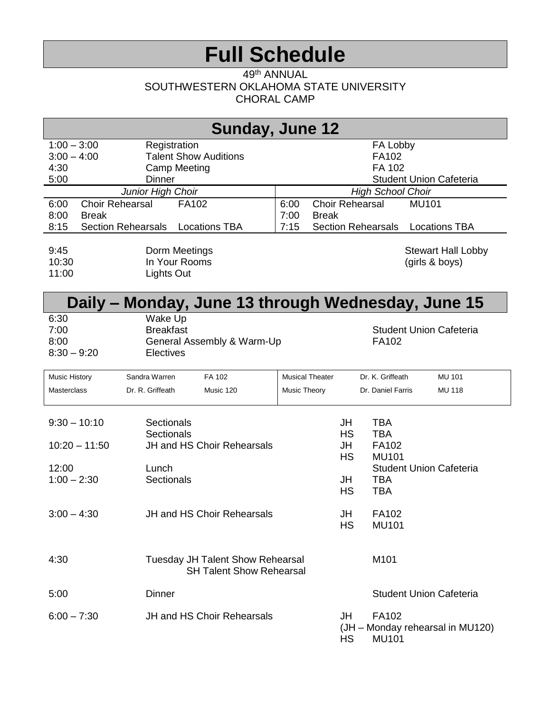# **Full Schedule**

#### 49<sup>th</sup> ANNUAL SOUTHWESTERN OKLAHOMA STATE UNIVERSITY CHORAL CAMP

| Sunday, June 12                        |                                                                               |                                                                              |  |  |
|----------------------------------------|-------------------------------------------------------------------------------|------------------------------------------------------------------------------|--|--|
| $1:00 - 3:00$<br>$3:00 - 4:00$<br>4:30 | Registration<br><b>Talent Show Auditions</b><br><b>Camp Meeting</b>           | FA Lobby<br>FA102<br>FA 102                                                  |  |  |
| 5:00                                   | <b>Dinner</b>                                                                 | <b>Student Union Cafeteria</b>                                               |  |  |
|                                        | Junior High Choir                                                             | <b>High School Choir</b>                                                     |  |  |
| <b>Choir Rehearsal</b><br>6:00         | FA102                                                                         | <b>Choir Rehearsal</b><br><b>MU101</b><br>6:00                               |  |  |
| 8:00<br><b>Break</b>                   |                                                                               | 7:00<br><b>Break</b>                                                         |  |  |
| 8:15<br><b>Section Rehearsals</b>      | <b>Locations TBA</b>                                                          | <b>Section Rehearsals</b><br>7:15<br><b>Locations TBA</b>                    |  |  |
| 9:45<br>10:30<br>11:00                 | Dorm Meetings<br>In Your Rooms<br>Lights Out                                  | <b>Stewart Hall Lobby</b><br>(girls & boys)                                  |  |  |
|                                        |                                                                               | Daily – Monday, June 13 through Wednesday, June 15                           |  |  |
| 6:30<br>7:00<br>8:00<br>$8:30 - 9:20$  | Wake Up<br><b>Breakfast</b><br>General Assembly & Warm-Up<br><b>Electives</b> | <b>Student Union Cafeteria</b><br>FA102                                      |  |  |
| Music History                          | Sandra Warren<br>FA 102                                                       | <b>Musical Theater</b><br>Dr. K. Griffeath<br><b>MU 101</b>                  |  |  |
| <b>Masterclass</b>                     | Dr. R. Griffeath<br>Music 120                                                 | <b>Music Theory</b><br>Dr. Daniel Farris<br><b>MU 118</b>                    |  |  |
| $9:30 - 10:10$                         | Sectionals<br>Sectionals                                                      | <b>TBA</b><br>JH<br><b>HS</b><br><b>TBA</b>                                  |  |  |
| $10:20 - 11:50$                        | JH and HS Choir Rehearsals                                                    | FA102<br>JH<br><b>HS</b><br><b>MU101</b>                                     |  |  |
| 12:00                                  | Lunch                                                                         | <b>Student Union Cafeteria</b>                                               |  |  |
| $1:00 - 2:30$                          | Sectionals                                                                    | <b>TBA</b><br>JH<br><b>HS</b><br><b>TBA</b>                                  |  |  |
| $3:00 - 4:30$                          | JH and HS Choir Rehearsals                                                    | JH<br>FA102<br><b>HS</b><br><b>MU101</b>                                     |  |  |
| 4:30                                   | <b>Tuesday JH Talent Show Rehearsal</b><br><b>SH Talent Show Rehearsal</b>    | M101                                                                         |  |  |
| 5:00                                   | <b>Dinner</b>                                                                 | <b>Student Union Cafeteria</b>                                               |  |  |
| $6:00 - 7:30$                          | JH and HS Choir Rehearsals                                                    | FA102<br>JH<br>(JH - Monday rehearsal in MU120)<br><b>HS</b><br><b>MU101</b> |  |  |